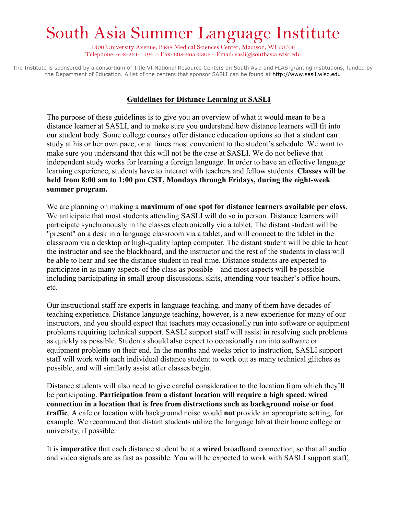## South Asia Summer Language Institute

1300 University Avenue, B488 Medical Sciences Center, Madison, WI 53706 Telephone: 608-261-1194 - Fax: 608-265-3302 - Email: sasli $@$ southasia.wisc.edu

The Institute is sponsored by a consortium of Title VI National Resource Centers on South Asia and FLAS-granting institutions, funded by the Department of Education. A list of the centers that sponsor SASLI can be found at http://www.sasli.wisc.edu

## **Guidelines for Distance Learning at SASLI**

The purpose of these guidelines is to give you an overview of what it would mean to be a distance learner at SASLI, and to make sure you understand how distance learners will fit into our student body. Some college courses offer distance education options so that a student can study at his or her own pace, or at times most convenient to the student's schedule. We want to make sure you understand that this will not be the case at SASLI. We do not believe that independent study works for learning a foreign language. In order to have an effective language learning experience, students have to interact with teachers and fellow students. **Classes will be held from 8:00 am to 1:00 pm CST, Mondays through Fridays, during the eight-week summer program.**

We are planning on making a **maximum of one spot for distance learners available per class**. We anticipate that most students attending SASLI will do so in person. Distance learners will participate synchronously in the classes electronically via a tablet. The distant student will be "present" on a desk in a language classroom via a tablet, and will connect to the tablet in the classroom via a desktop or high-quality laptop computer. The distant student will be able to hear the instructor and see the blackboard, and the instructor and the rest of the students in class will be able to hear and see the distance student in real time. Distance students are expected to participate in as many aspects of the class as possible – and most aspects will be possible - including participating in small group discussions, skits, attending your teacher's office hours, etc.

Our instructional staff are experts in language teaching, and many of them have decades of teaching experience. Distance language teaching, however, is a new experience for many of our instructors, and you should expect that teachers may occasionally run into software or equipment problems requiring technical support. SASLI support staff will assist in resolving such problems as quickly as possible. Students should also expect to occasionally run into software or equipment problems on their end. In the months and weeks prior to instruction, SASLI support staff will work with each individual distance student to work out as many technical glitches as possible, and will similarly assist after classes begin.

Distance students will also need to give careful consideration to the location from which they'll be participating. **Participation from a distant location will require a high speed, wired connection in a location that is free from distractions such as background noise or foot traffic**. A cafe or location with background noise would **not** provide an appropriate setting, for example. We recommend that distant students utilize the language lab at their home college or university, if possible.

It is **imperative** that each distance student be at a **wired** broadband connection, so that all audio and video signals are as fast as possible. You will be expected to work with SASLI support staff,